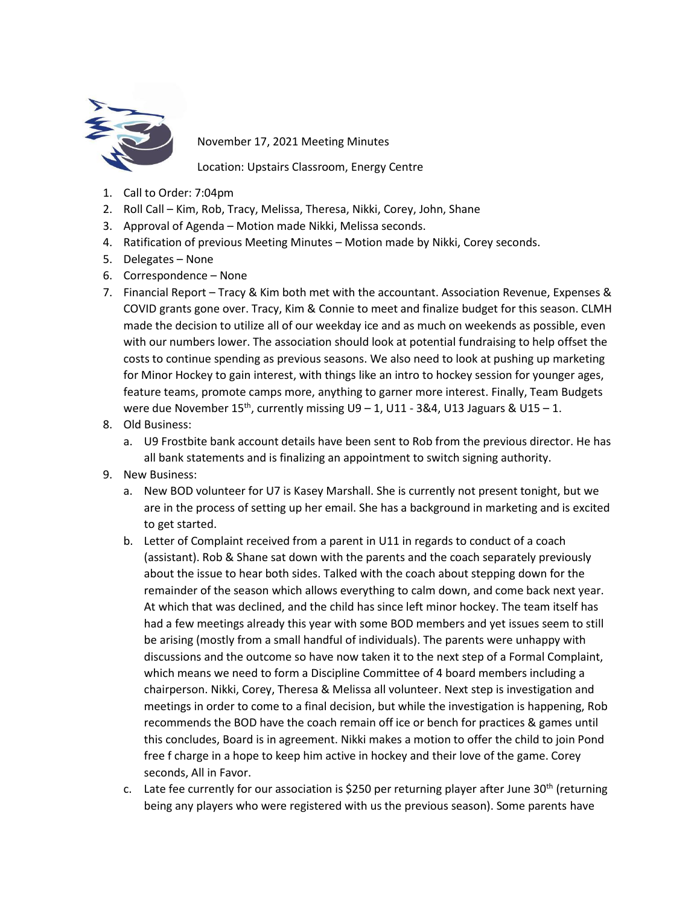

November 17, 2021 Meeting Minutes

Location: Upstairs Classroom, Energy Centre

- 1. Call to Order: 7:04pm
- 2. Roll Call Kim, Rob, Tracy, Melissa, Theresa, Nikki, Corey, John, Shane
- 3. Approval of Agenda Motion made Nikki, Melissa seconds.
- 4. Ratification of previous Meeting Minutes Motion made by Nikki, Corey seconds.
- 5. Delegates None
- 6. Correspondence None
- 7. Financial Report Tracy & Kim both met with the accountant. Association Revenue, Expenses & COVID grants gone over. Tracy, Kim & Connie to meet and finalize budget for this season. CLMH made the decision to utilize all of our weekday ice and as much on weekends as possible, even with our numbers lower. The association should look at potential fundraising to help offset the costs to continue spending as previous seasons. We also need to look at pushing up marketing for Minor Hockey to gain interest, with things like an intro to hockey session for younger ages, feature teams, promote camps more, anything to garner more interest. Finally, Team Budgets were due November 15<sup>th</sup>, currently missing  $U9 - 1$ ,  $U11 - 384$ ,  $U13$  Jaguars &  $U15 - 1$ .
- 8. Old Business:
	- a. U9 Frostbite bank account details have been sent to Rob from the previous director. He has all bank statements and is finalizing an appointment to switch signing authority.
- 9. New Business:
	- a. New BOD volunteer for U7 is Kasey Marshall. She is currently not present tonight, but we are in the process of setting up her email. She has a background in marketing and is excited to get started.
	- b. Letter of Complaint received from a parent in U11 in regards to conduct of a coach (assistant). Rob & Shane sat down with the parents and the coach separately previously about the issue to hear both sides. Talked with the coach about stepping down for the remainder of the season which allows everything to calm down, and come back next year. At which that was declined, and the child has since left minor hockey. The team itself has had a few meetings already this year with some BOD members and yet issues seem to still be arising (mostly from a small handful of individuals). The parents were unhappy with discussions and the outcome so have now taken it to the next step of a Formal Complaint, which means we need to form a Discipline Committee of 4 board members including a chairperson. Nikki, Corey, Theresa & Melissa all volunteer. Next step is investigation and meetings in order to come to a final decision, but while the investigation is happening, Rob recommends the BOD have the coach remain off ice or bench for practices & games until this concludes, Board is in agreement. Nikki makes a motion to offer the child to join Pond free f charge in a hope to keep him active in hockey and their love of the game. Corey seconds, All in Favor.
	- c. Late fee currently for our association is \$250 per returning player after June 30<sup>th</sup> (returning being any players who were registered with us the previous season). Some parents have